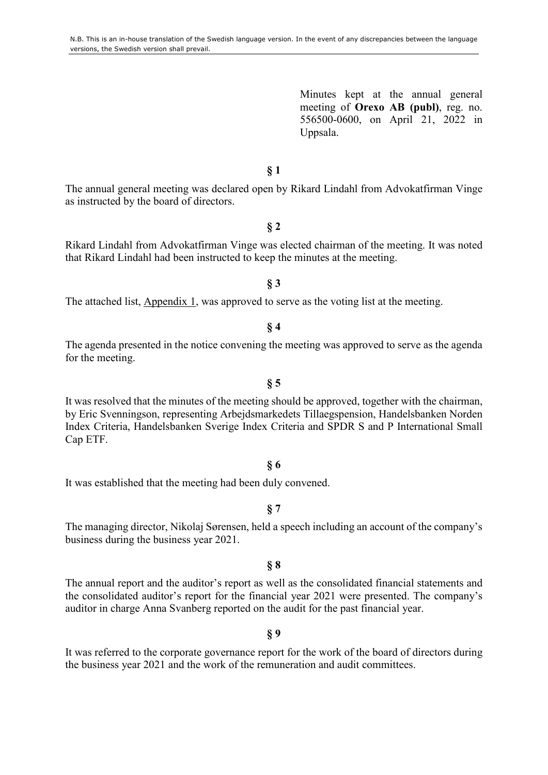Minutes kept at the annual general meeting of **Orexo AB (publ)**, reg. no. 556500-0600, on April 21, 2022 in Uppsala.

### **§ 1**

The annual general meeting was declared open by Rikard Lindahl from Advokatfirman Vinge as instructed by the board of directors.

#### **§ 2**

Rikard Lindahl from Advokatfirman Vinge was elected chairman of the meeting. It was noted that Rikard Lindahl had been instructed to keep the minutes at the meeting.

#### **§ 3**

The attached list, Appendix 1, was approved to serve as the voting list at the meeting.

**§ 4** 

The agenda presented in the notice convening the meeting was approved to serve as the agenda for the meeting.

**§ 5** 

It was resolved that the minutes of the meeting should be approved, together with the chairman, by Eric Svenningson, representing Arbejdsmarkedets Tillaegspension, Handelsbanken Norden Index Criteria, Handelsbanken Sverige Index Criteria and SPDR S and P International Small Cap ETF.

#### **§ 6**

It was established that the meeting had been duly convened.

#### **§ 7**

The managing director, Nikolaj Sørensen, held a speech including an account of the company's business during the business year 2021.

#### **§ 8**

The annual report and the auditor's report as well as the consolidated financial statements and the consolidated auditor's report for the financial year 2021 were presented. The company's auditor in charge Anna Svanberg reported on the audit for the past financial year.

#### **§ 9**

It was referred to the corporate governance report for the work of the board of directors during the business year 2021 and the work of the remuneration and audit committees.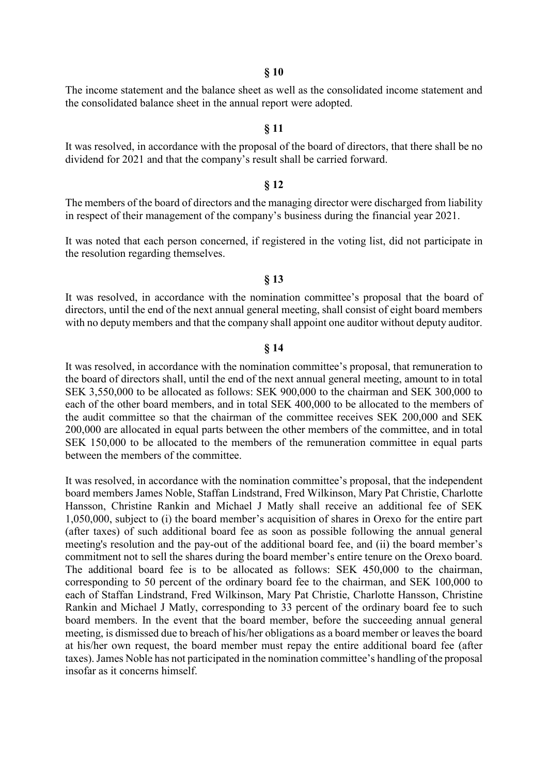**§ 10** 

The income statement and the balance sheet as well as the consolidated income statement and the consolidated balance sheet in the annual report were adopted.

#### **§ 11**

It was resolved, in accordance with the proposal of the board of directors, that there shall be no dividend for 2021 and that the company's result shall be carried forward.

#### **§ 12**

The members of the board of directors and the managing director were discharged from liability in respect of their management of the company's business during the financial year 2021.

It was noted that each person concerned, if registered in the voting list, did not participate in the resolution regarding themselves.

#### **§ 13**

It was resolved, in accordance with the nomination committee's proposal that the board of directors, until the end of the next annual general meeting, shall consist of eight board members with no deputy members and that the company shall appoint one auditor without deputy auditor.

#### **§ 14**

It was resolved, in accordance with the nomination committee's proposal, that remuneration to the board of directors shall, until the end of the next annual general meeting, amount to in total SEK 3,550,000 to be allocated as follows: SEK 900,000 to the chairman and SEK 300,000 to each of the other board members, and in total SEK 400,000 to be allocated to the members of the audit committee so that the chairman of the committee receives SEK 200,000 and SEK 200,000 are allocated in equal parts between the other members of the committee, and in total SEK 150,000 to be allocated to the members of the remuneration committee in equal parts between the members of the committee.

It was resolved, in accordance with the nomination committee's proposal, that the independent board members James Noble, Staffan Lindstrand, Fred Wilkinson, Mary Pat Christie, Charlotte Hansson, Christine Rankin and Michael J Matly shall receive an additional fee of SEK 1,050,000, subject to (i) the board member's acquisition of shares in Orexo for the entire part (after taxes) of such additional board fee as soon as possible following the annual general meeting's resolution and the pay-out of the additional board fee, and (ii) the board member's commitment not to sell the shares during the board member's entire tenure on the Orexo board. The additional board fee is to be allocated as follows: SEK 450,000 to the chairman, corresponding to 50 percent of the ordinary board fee to the chairman, and SEK 100,000 to each of Staffan Lindstrand, Fred Wilkinson, Mary Pat Christie, Charlotte Hansson, Christine Rankin and Michael J Matly, corresponding to 33 percent of the ordinary board fee to such board members. In the event that the board member, before the succeeding annual general meeting, is dismissed due to breach of his/her obligations as a board member or leaves the board at his/her own request, the board member must repay the entire additional board fee (after taxes). James Noble has not participated in the nomination committee's handling of the proposal insofar as it concerns himself.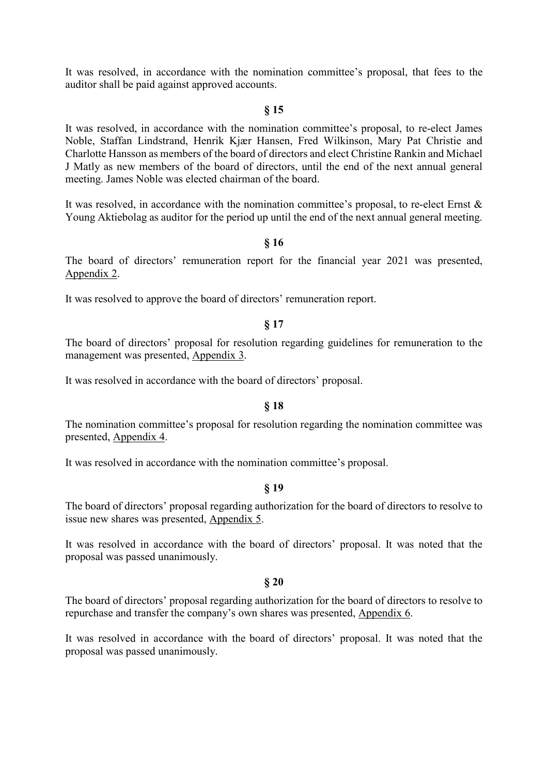It was resolved, in accordance with the nomination committee's proposal, that fees to the auditor shall be paid against approved accounts.

### **§ 15**

It was resolved, in accordance with the nomination committee's proposal, to re-elect James Noble, Staffan Lindstrand, Henrik Kjær Hansen, Fred Wilkinson, Mary Pat Christie and Charlotte Hansson as members of the board of directors and elect Christine Rankin and Michael J Matly as new members of the board of directors, until the end of the next annual general meeting. James Noble was elected chairman of the board.

It was resolved, in accordance with the nomination committee's proposal, to re-elect Ernst & Young Aktiebolag as auditor for the period up until the end of the next annual general meeting.

#### **§ 16**

The board of directors' remuneration report for the financial year 2021 was presented, Appendix 2.

It was resolved to approve the board of directors' remuneration report.

#### **§ 17**

The board of directors' proposal for resolution regarding guidelines for remuneration to the management was presented, Appendix 3.

It was resolved in accordance with the board of directors' proposal.

#### **§ 18**

The nomination committee's proposal for resolution regarding the nomination committee was presented, Appendix 4.

It was resolved in accordance with the nomination committee's proposal.

#### **§ 19**

The board of directors' proposal regarding authorization for the board of directors to resolve to issue new shares was presented, Appendix 5.

It was resolved in accordance with the board of directors' proposal. It was noted that the proposal was passed unanimously.

#### **§ 20**

The board of directors' proposal regarding authorization for the board of directors to resolve to repurchase and transfer the company's own shares was presented, Appendix 6.

It was resolved in accordance with the board of directors' proposal. It was noted that the proposal was passed unanimously.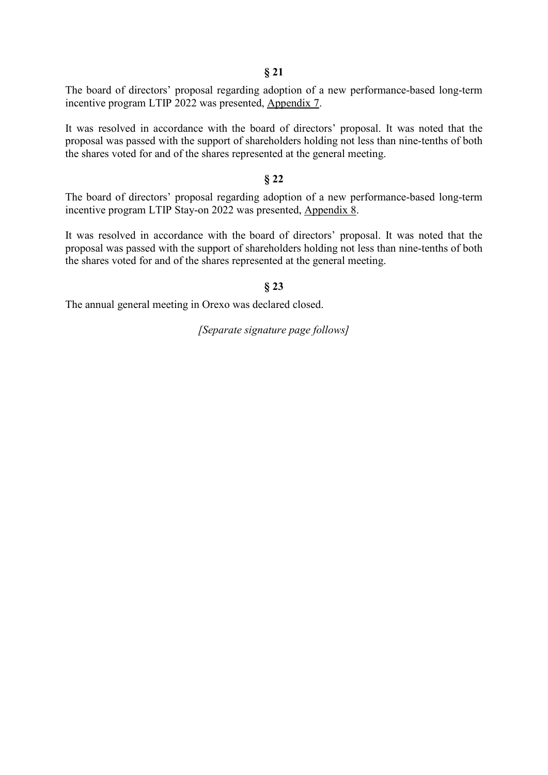**§ 21** 

The board of directors' proposal regarding adoption of a new performance-based long-term incentive program LTIP 2022 was presented, Appendix 7.

It was resolved in accordance with the board of directors' proposal. It was noted that the proposal was passed with the support of shareholders holding not less than nine-tenths of both the shares voted for and of the shares represented at the general meeting.

#### **§ 22**

The board of directors' proposal regarding adoption of a new performance-based long-term incentive program LTIP Stay-on 2022 was presented, Appendix 8.

It was resolved in accordance with the board of directors' proposal. It was noted that the proposal was passed with the support of shareholders holding not less than nine-tenths of both the shares voted for and of the shares represented at the general meeting.

#### **§ 23**

The annual general meeting in Orexo was declared closed.

*[Separate signature page follows]*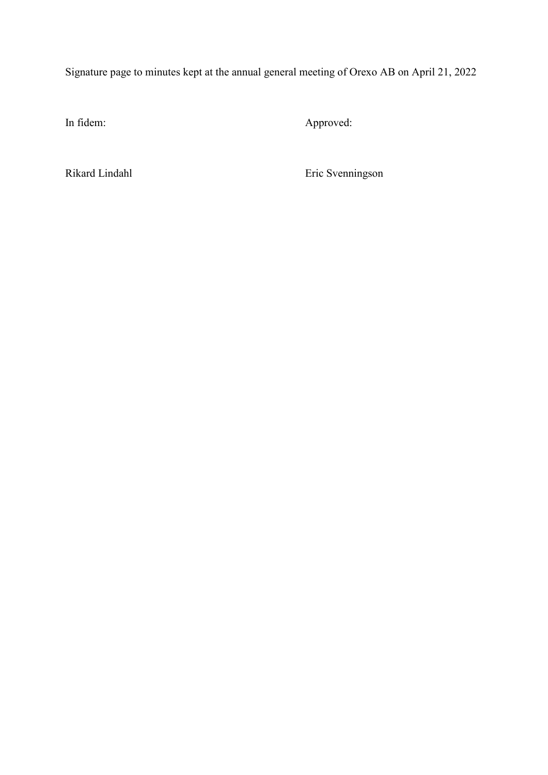Signature page to minutes kept at the annual general meeting of Orexo AB on April 21, 2022

In fidem: Approved:

Rikard Lindahl Eric Svenningson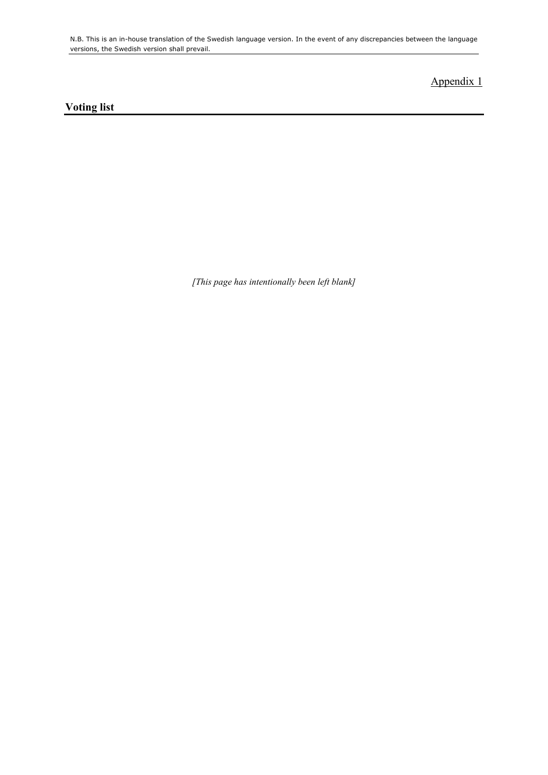N.B. This is an in-house translation of the Swedish language version. In the event of any discrepancies between the language versions, the Swedish version shall prevail.

# Appendix 1

# **Voting list**

*[This page has intentionally been left blank]*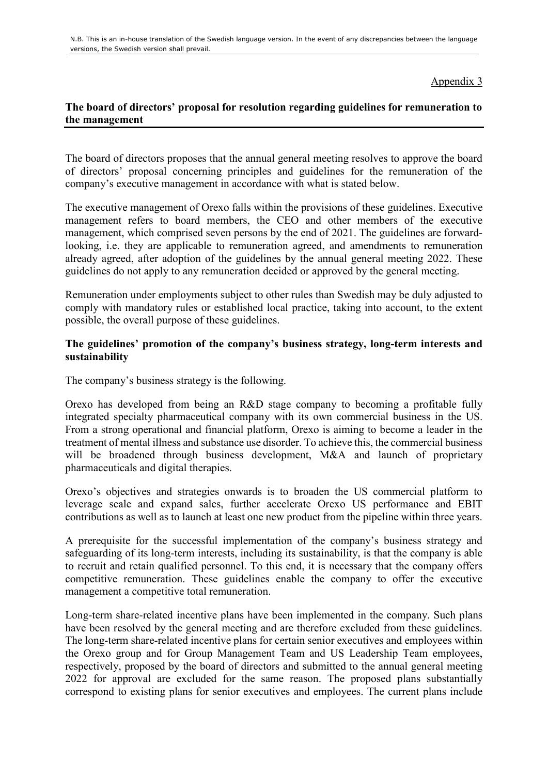Appendix 3

# **The board of directors' proposal for resolution regarding guidelines for remuneration to the management**

The board of directors proposes that the annual general meeting resolves to approve the board of directors' proposal concerning principles and guidelines for the remuneration of the company's executive management in accordance with what is stated below.

The executive management of Orexo falls within the provisions of these guidelines. Executive management refers to board members, the CEO and other members of the executive management, which comprised seven persons by the end of 2021. The guidelines are forwardlooking, i.e. they are applicable to remuneration agreed, and amendments to remuneration already agreed, after adoption of the guidelines by the annual general meeting 2022. These guidelines do not apply to any remuneration decided or approved by the general meeting.

Remuneration under employments subject to other rules than Swedish may be duly adjusted to comply with mandatory rules or established local practice, taking into account, to the extent possible, the overall purpose of these guidelines.

### **The guidelines' promotion of the company's business strategy, long-term interests and sustainability**

The company's business strategy is the following.

Orexo has developed from being an R&D stage company to becoming a profitable fully integrated specialty pharmaceutical company with its own commercial business in the US. From a strong operational and financial platform, Orexo is aiming to become a leader in the treatment of mental illness and substance use disorder. To achieve this, the commercial business will be broadened through business development, M&A and launch of proprietary pharmaceuticals and digital therapies.

Orexo's objectives and strategies onwards is to broaden the US commercial platform to leverage scale and expand sales, further accelerate Orexo US performance and EBIT contributions as well as to launch at least one new product from the pipeline within three years.

A prerequisite for the successful implementation of the company's business strategy and safeguarding of its long-term interests, including its sustainability, is that the company is able to recruit and retain qualified personnel. To this end, it is necessary that the company offers competitive remuneration. These guidelines enable the company to offer the executive management a competitive total remuneration.

Long-term share-related incentive plans have been implemented in the company. Such plans have been resolved by the general meeting and are therefore excluded from these guidelines. The long-term share-related incentive plans for certain senior executives and employees within the Orexo group and for Group Management Team and US Leadership Team employees, respectively, proposed by the board of directors and submitted to the annual general meeting 2022 for approval are excluded for the same reason. The proposed plans substantially correspond to existing plans for senior executives and employees. The current plans include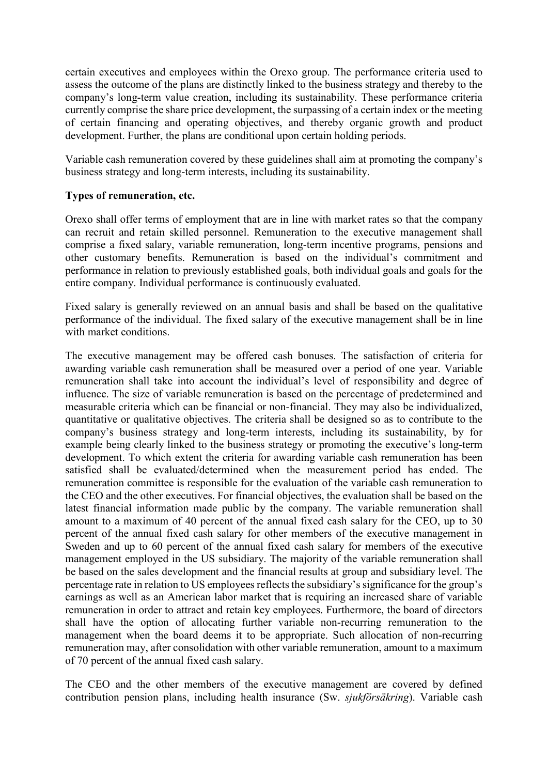certain executives and employees within the Orexo group. The performance criteria used to assess the outcome of the plans are distinctly linked to the business strategy and thereby to the company's long-term value creation, including its sustainability. These performance criteria currently comprise the share price development, the surpassing of a certain index or the meeting of certain financing and operating objectives, and thereby organic growth and product development. Further, the plans are conditional upon certain holding periods.

Variable cash remuneration covered by these guidelines shall aim at promoting the company's business strategy and long-term interests, including its sustainability.

### **Types of remuneration, etc.**

Orexo shall offer terms of employment that are in line with market rates so that the company can recruit and retain skilled personnel. Remuneration to the executive management shall comprise a fixed salary, variable remuneration, long-term incentive programs, pensions and other customary benefits. Remuneration is based on the individual's commitment and performance in relation to previously established goals, both individual goals and goals for the entire company. Individual performance is continuously evaluated.

Fixed salary is generally reviewed on an annual basis and shall be based on the qualitative performance of the individual. The fixed salary of the executive management shall be in line with market conditions.

The executive management may be offered cash bonuses. The satisfaction of criteria for awarding variable cash remuneration shall be measured over a period of one year. Variable remuneration shall take into account the individual's level of responsibility and degree of influence. The size of variable remuneration is based on the percentage of predetermined and measurable criteria which can be financial or non-financial. They may also be individualized, quantitative or qualitative objectives. The criteria shall be designed so as to contribute to the company's business strategy and long-term interests, including its sustainability, by for example being clearly linked to the business strategy or promoting the executive's long-term development. To which extent the criteria for awarding variable cash remuneration has been satisfied shall be evaluated/determined when the measurement period has ended. The remuneration committee is responsible for the evaluation of the variable cash remuneration to the CEO and the other executives. For financial objectives, the evaluation shall be based on the latest financial information made public by the company. The variable remuneration shall amount to a maximum of 40 percent of the annual fixed cash salary for the CEO, up to 30 percent of the annual fixed cash salary for other members of the executive management in Sweden and up to 60 percent of the annual fixed cash salary for members of the executive management employed in the US subsidiary. The majority of the variable remuneration shall be based on the sales development and the financial results at group and subsidiary level. The percentage rate in relation to US employees reflects the subsidiary's significance for the group's earnings as well as an American labor market that is requiring an increased share of variable remuneration in order to attract and retain key employees. Furthermore, the board of directors shall have the option of allocating further variable non-recurring remuneration to the management when the board deems it to be appropriate. Such allocation of non-recurring remuneration may, after consolidation with other variable remuneration, amount to a maximum of 70 percent of the annual fixed cash salary.

The CEO and the other members of the executive management are covered by defined contribution pension plans, including health insurance (Sw. *sjukförsäkring*). Variable cash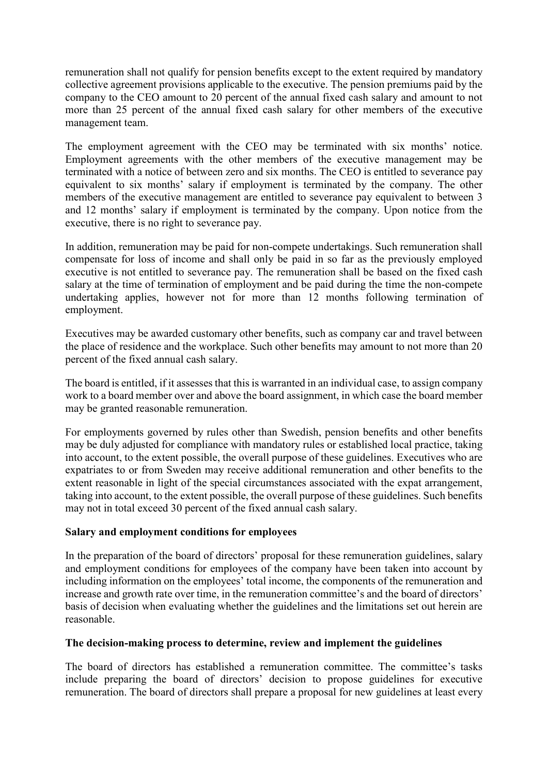remuneration shall not qualify for pension benefits except to the extent required by mandatory collective agreement provisions applicable to the executive. The pension premiums paid by the company to the CEO amount to 20 percent of the annual fixed cash salary and amount to not more than 25 percent of the annual fixed cash salary for other members of the executive management team.

The employment agreement with the CEO may be terminated with six months' notice. Employment agreements with the other members of the executive management may be terminated with a notice of between zero and six months. The CEO is entitled to severance pay equivalent to six months' salary if employment is terminated by the company. The other members of the executive management are entitled to severance pay equivalent to between 3 and 12 months' salary if employment is terminated by the company. Upon notice from the executive, there is no right to severance pay.

In addition, remuneration may be paid for non-compete undertakings. Such remuneration shall compensate for loss of income and shall only be paid in so far as the previously employed executive is not entitled to severance pay. The remuneration shall be based on the fixed cash salary at the time of termination of employment and be paid during the time the non-compete undertaking applies, however not for more than 12 months following termination of employment.

Executives may be awarded customary other benefits, such as company car and travel between the place of residence and the workplace. Such other benefits may amount to not more than 20 percent of the fixed annual cash salary.

The board is entitled, if it assesses that this is warranted in an individual case, to assign company work to a board member over and above the board assignment, in which case the board member may be granted reasonable remuneration.

For employments governed by rules other than Swedish, pension benefits and other benefits may be duly adjusted for compliance with mandatory rules or established local practice, taking into account, to the extent possible, the overall purpose of these guidelines. Executives who are expatriates to or from Sweden may receive additional remuneration and other benefits to the extent reasonable in light of the special circumstances associated with the expat arrangement, taking into account, to the extent possible, the overall purpose of these guidelines. Such benefits may not in total exceed 30 percent of the fixed annual cash salary.

# **Salary and employment conditions for employees**

In the preparation of the board of directors' proposal for these remuneration guidelines, salary and employment conditions for employees of the company have been taken into account by including information on the employees' total income, the components of the remuneration and increase and growth rate over time, in the remuneration committee's and the board of directors' basis of decision when evaluating whether the guidelines and the limitations set out herein are reasonable.

### **The decision-making process to determine, review and implement the guidelines**

The board of directors has established a remuneration committee. The committee's tasks include preparing the board of directors' decision to propose guidelines for executive remuneration. The board of directors shall prepare a proposal for new guidelines at least every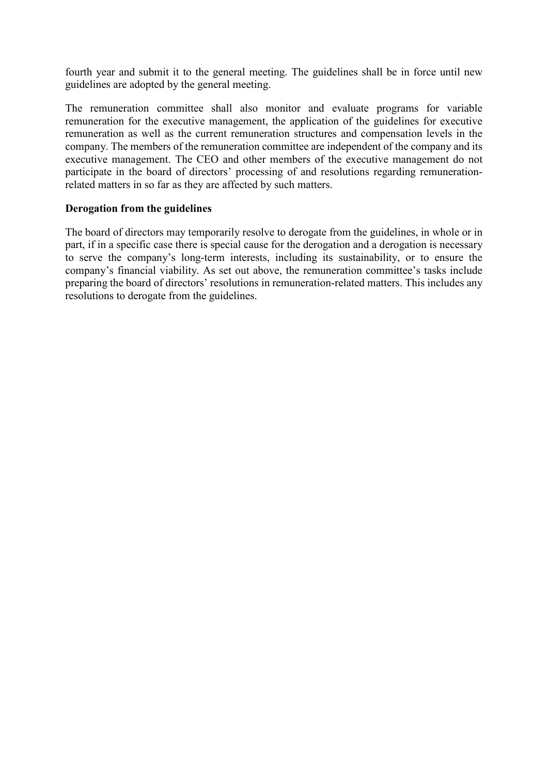fourth year and submit it to the general meeting. The guidelines shall be in force until new guidelines are adopted by the general meeting.

The remuneration committee shall also monitor and evaluate programs for variable remuneration for the executive management, the application of the guidelines for executive remuneration as well as the current remuneration structures and compensation levels in the company. The members of the remuneration committee are independent of the company and its executive management. The CEO and other members of the executive management do not participate in the board of directors' processing of and resolutions regarding remunerationrelated matters in so far as they are affected by such matters.

# **Derogation from the guidelines**

The board of directors may temporarily resolve to derogate from the guidelines, in whole or in part, if in a specific case there is special cause for the derogation and a derogation is necessary to serve the company's long-term interests, including its sustainability, or to ensure the company's financial viability. As set out above, the remuneration committee's tasks include preparing the board of directors' resolutions in remuneration-related matters. This includes any resolutions to derogate from the guidelines.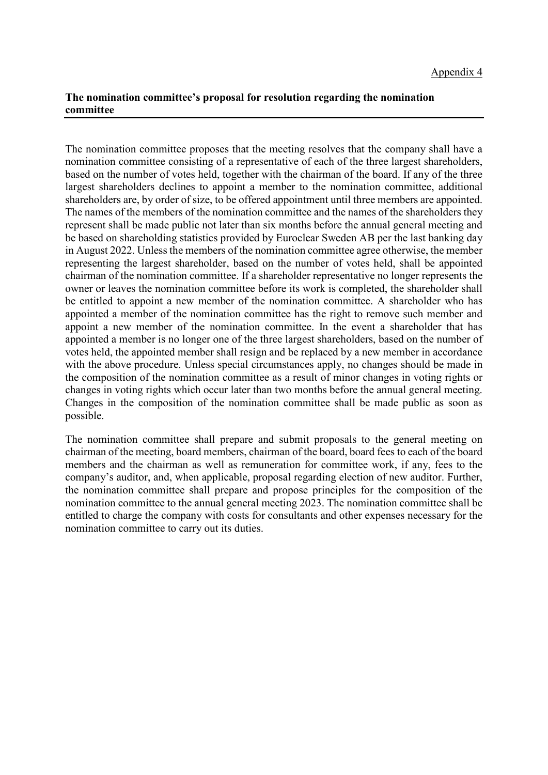# **The nomination committee's proposal for resolution regarding the nomination committee**

The nomination committee proposes that the meeting resolves that the company shall have a nomination committee consisting of a representative of each of the three largest shareholders, based on the number of votes held, together with the chairman of the board. If any of the three largest shareholders declines to appoint a member to the nomination committee, additional shareholders are, by order of size, to be offered appointment until three members are appointed. The names of the members of the nomination committee and the names of the shareholders they represent shall be made public not later than six months before the annual general meeting and be based on shareholding statistics provided by Euroclear Sweden AB per the last banking day in August 2022. Unless the members of the nomination committee agree otherwise, the member representing the largest shareholder, based on the number of votes held, shall be appointed chairman of the nomination committee. If a shareholder representative no longer represents the owner or leaves the nomination committee before its work is completed, the shareholder shall be entitled to appoint a new member of the nomination committee. A shareholder who has appointed a member of the nomination committee has the right to remove such member and appoint a new member of the nomination committee. In the event a shareholder that has appointed a member is no longer one of the three largest shareholders, based on the number of votes held, the appointed member shall resign and be replaced by a new member in accordance with the above procedure. Unless special circumstances apply, no changes should be made in the composition of the nomination committee as a result of minor changes in voting rights or changes in voting rights which occur later than two months before the annual general meeting. Changes in the composition of the nomination committee shall be made public as soon as possible.

The nomination committee shall prepare and submit proposals to the general meeting on chairman of the meeting, board members, chairman of the board, board fees to each of the board members and the chairman as well as remuneration for committee work, if any, fees to the company's auditor, and, when applicable, proposal regarding election of new auditor. Further, the nomination committee shall prepare and propose principles for the composition of the nomination committee to the annual general meeting 2023. The nomination committee shall be entitled to charge the company with costs for consultants and other expenses necessary for the nomination committee to carry out its duties.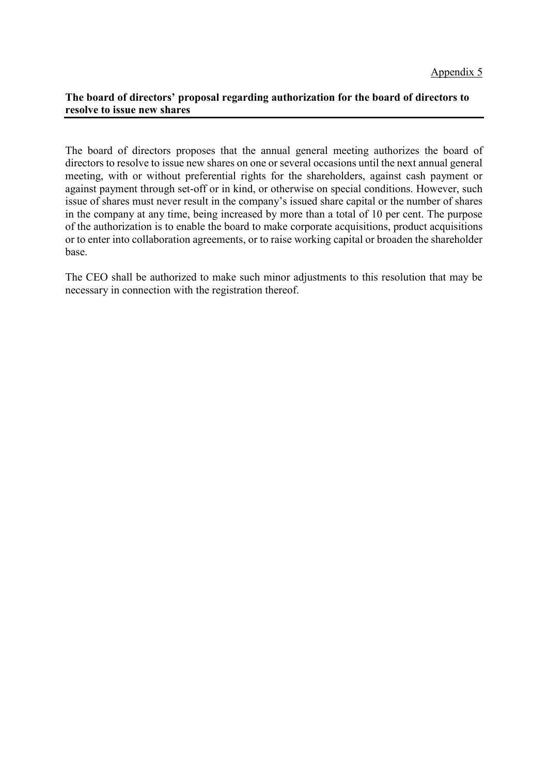### **The board of directors' proposal regarding authorization for the board of directors to resolve to issue new shares**

The board of directors proposes that the annual general meeting authorizes the board of directors to resolve to issue new shares on one or several occasions until the next annual general meeting, with or without preferential rights for the shareholders, against cash payment or against payment through set-off or in kind, or otherwise on special conditions. However, such issue of shares must never result in the company's issued share capital or the number of shares in the company at any time, being increased by more than a total of 10 per cent. The purpose of the authorization is to enable the board to make corporate acquisitions, product acquisitions or to enter into collaboration agreements, or to raise working capital or broaden the shareholder base.

The CEO shall be authorized to make such minor adjustments to this resolution that may be necessary in connection with the registration thereof.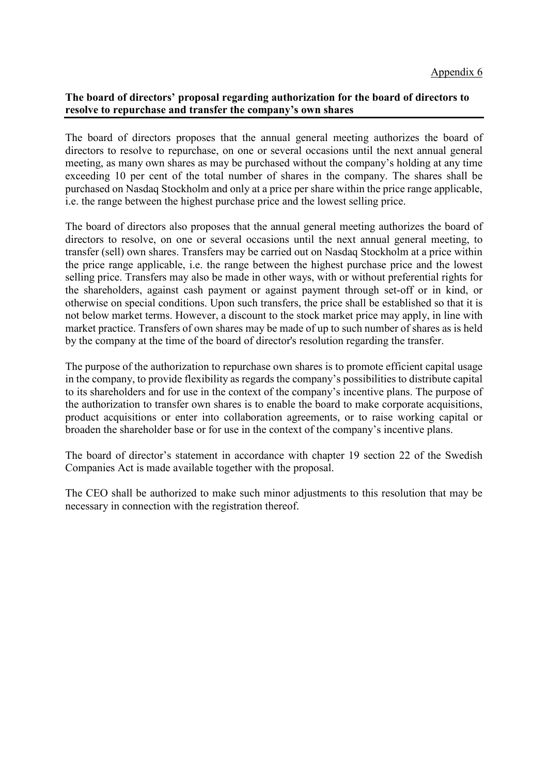### **The board of directors' proposal regarding authorization for the board of directors to resolve to repurchase and transfer the company's own shares**

The board of directors proposes that the annual general meeting authorizes the board of directors to resolve to repurchase, on one or several occasions until the next annual general meeting, as many own shares as may be purchased without the company's holding at any time exceeding 10 per cent of the total number of shares in the company. The shares shall be purchased on Nasdaq Stockholm and only at a price per share within the price range applicable, i.e. the range between the highest purchase price and the lowest selling price.

The board of directors also proposes that the annual general meeting authorizes the board of directors to resolve, on one or several occasions until the next annual general meeting, to transfer (sell) own shares. Transfers may be carried out on Nasdaq Stockholm at a price within the price range applicable, i.e. the range between the highest purchase price and the lowest selling price. Transfers may also be made in other ways, with or without preferential rights for the shareholders, against cash payment or against payment through set-off or in kind, or otherwise on special conditions. Upon such transfers, the price shall be established so that it is not below market terms. However, a discount to the stock market price may apply, in line with market practice. Transfers of own shares may be made of up to such number of shares as is held by the company at the time of the board of director's resolution regarding the transfer.

The purpose of the authorization to repurchase own shares is to promote efficient capital usage in the company, to provide flexibility as regards the company's possibilities to distribute capital to its shareholders and for use in the context of the company's incentive plans. The purpose of the authorization to transfer own shares is to enable the board to make corporate acquisitions, product acquisitions or enter into collaboration agreements, or to raise working capital or broaden the shareholder base or for use in the context of the company's incentive plans.

The board of director's statement in accordance with chapter 19 section 22 of the Swedish Companies Act is made available together with the proposal.

The CEO shall be authorized to make such minor adjustments to this resolution that may be necessary in connection with the registration thereof.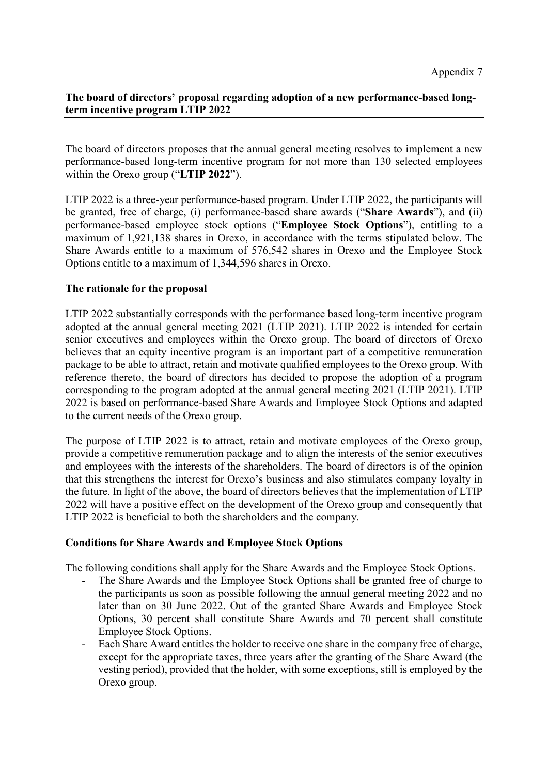# **The board of directors' proposal regarding adoption of a new performance-based longterm incentive program LTIP 2022**

The board of directors proposes that the annual general meeting resolves to implement a new performance-based long-term incentive program for not more than 130 selected employees within the Orexo group ("**LTIP 2022**").

LTIP 2022 is a three-year performance-based program. Under LTIP 2022, the participants will be granted, free of charge, (i) performance-based share awards ("**Share Awards**"), and (ii) performance-based employee stock options ("**Employee Stock Options**"), entitling to a maximum of 1,921,138 shares in Orexo, in accordance with the terms stipulated below. The Share Awards entitle to a maximum of 576,542 shares in Orexo and the Employee Stock Options entitle to a maximum of 1,344,596 shares in Orexo.

### **The rationale for the proposal**

LTIP 2022 substantially corresponds with the performance based long-term incentive program adopted at the annual general meeting 2021 (LTIP 2021). LTIP 2022 is intended for certain senior executives and employees within the Orexo group. The board of directors of Orexo believes that an equity incentive program is an important part of a competitive remuneration package to be able to attract, retain and motivate qualified employees to the Orexo group. With reference thereto, the board of directors has decided to propose the adoption of a program corresponding to the program adopted at the annual general meeting 2021 (LTIP 2021). LTIP 2022 is based on performance-based Share Awards and Employee Stock Options and adapted to the current needs of the Orexo group.

The purpose of LTIP 2022 is to attract, retain and motivate employees of the Orexo group, provide a competitive remuneration package and to align the interests of the senior executives and employees with the interests of the shareholders. The board of directors is of the opinion that this strengthens the interest for Orexo's business and also stimulates company loyalty in the future. In light of the above, the board of directors believes that the implementation of LTIP 2022 will have a positive effect on the development of the Orexo group and consequently that LTIP 2022 is beneficial to both the shareholders and the company.

### **Conditions for Share Awards and Employee Stock Options**

The following conditions shall apply for the Share Awards and the Employee Stock Options.

- The Share Awards and the Employee Stock Options shall be granted free of charge to the participants as soon as possible following the annual general meeting 2022 and no later than on 30 June 2022. Out of the granted Share Awards and Employee Stock Options, 30 percent shall constitute Share Awards and 70 percent shall constitute Employee Stock Options.
- Each Share Award entitles the holder to receive one share in the company free of charge, except for the appropriate taxes, three years after the granting of the Share Award (the vesting period), provided that the holder, with some exceptions, still is employed by the Orexo group.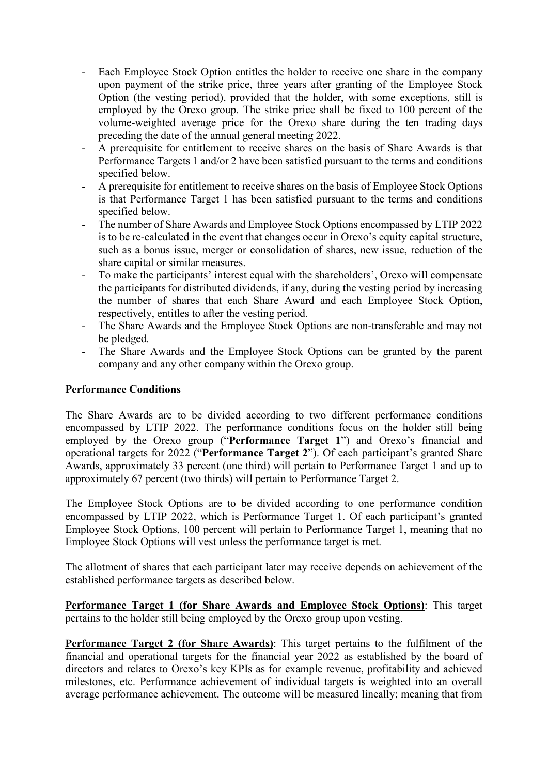- Each Employee Stock Option entitles the holder to receive one share in the company upon payment of the strike price, three years after granting of the Employee Stock Option (the vesting period), provided that the holder, with some exceptions, still is employed by the Orexo group. The strike price shall be fixed to 100 percent of the volume-weighted average price for the Orexo share during the ten trading days preceding the date of the annual general meeting 2022.
- A prerequisite for entitlement to receive shares on the basis of Share Awards is that Performance Targets 1 and/or 2 have been satisfied pursuant to the terms and conditions specified below.
- A prerequisite for entitlement to receive shares on the basis of Employee Stock Options is that Performance Target 1 has been satisfied pursuant to the terms and conditions specified below.
- The number of Share Awards and Employee Stock Options encompassed by LTIP 2022 is to be re-calculated in the event that changes occur in Orexo's equity capital structure, such as a bonus issue, merger or consolidation of shares, new issue, reduction of the share capital or similar measures.
- To make the participants' interest equal with the shareholders', Orexo will compensate the participants for distributed dividends, if any, during the vesting period by increasing the number of shares that each Share Award and each Employee Stock Option, respectively, entitles to after the vesting period.
- The Share Awards and the Employee Stock Options are non-transferable and may not be pledged.
- The Share Awards and the Employee Stock Options can be granted by the parent company and any other company within the Orexo group.

### **Performance Conditions**

The Share Awards are to be divided according to two different performance conditions encompassed by LTIP 2022. The performance conditions focus on the holder still being employed by the Orexo group ("**Performance Target 1**") and Orexo's financial and operational targets for 2022 ("**Performance Target 2**"). Of each participant's granted Share Awards, approximately 33 percent (one third) will pertain to Performance Target 1 and up to approximately 67 percent (two thirds) will pertain to Performance Target 2.

The Employee Stock Options are to be divided according to one performance condition encompassed by LTIP 2022, which is Performance Target 1. Of each participant's granted Employee Stock Options, 100 percent will pertain to Performance Target 1, meaning that no Employee Stock Options will vest unless the performance target is met.

The allotment of shares that each participant later may receive depends on achievement of the established performance targets as described below.

**Performance Target 1 (for Share Awards and Employee Stock Options)**: This target pertains to the holder still being employed by the Orexo group upon vesting.

**Performance Target 2 (for Share Awards)**: This target pertains to the fulfilment of the financial and operational targets for the financial year 2022 as established by the board of directors and relates to Orexo's key KPIs as for example revenue, profitability and achieved milestones, etc. Performance achievement of individual targets is weighted into an overall average performance achievement. The outcome will be measured lineally; meaning that from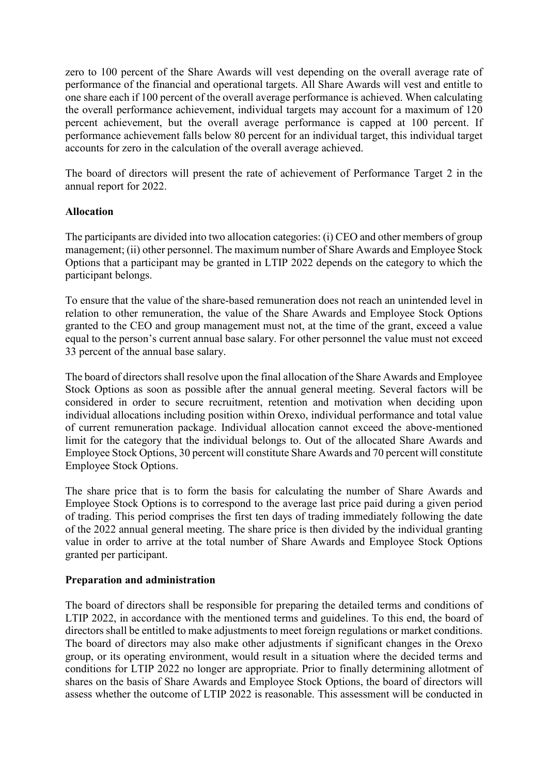zero to 100 percent of the Share Awards will vest depending on the overall average rate of performance of the financial and operational targets. All Share Awards will vest and entitle to one share each if 100 percent of the overall average performance is achieved. When calculating the overall performance achievement, individual targets may account for a maximum of 120 percent achievement, but the overall average performance is capped at 100 percent. If performance achievement falls below 80 percent for an individual target, this individual target accounts for zero in the calculation of the overall average achieved.

The board of directors will present the rate of achievement of Performance Target 2 in the annual report for 2022.

### **Allocation**

The participants are divided into two allocation categories: (i) CEO and other members of group management; (ii) other personnel. The maximum number of Share Awards and Employee Stock Options that a participant may be granted in LTIP 2022 depends on the category to which the participant belongs.

To ensure that the value of the share-based remuneration does not reach an unintended level in relation to other remuneration, the value of the Share Awards and Employee Stock Options granted to the CEO and group management must not, at the time of the grant, exceed a value equal to the person's current annual base salary. For other personnel the value must not exceed 33 percent of the annual base salary.

The board of directors shall resolve upon the final allocation of the Share Awards and Employee Stock Options as soon as possible after the annual general meeting. Several factors will be considered in order to secure recruitment, retention and motivation when deciding upon individual allocations including position within Orexo, individual performance and total value of current remuneration package. Individual allocation cannot exceed the above-mentioned limit for the category that the individual belongs to. Out of the allocated Share Awards and Employee Stock Options, 30 percent will constitute Share Awards and 70 percent will constitute Employee Stock Options.

The share price that is to form the basis for calculating the number of Share Awards and Employee Stock Options is to correspond to the average last price paid during a given period of trading. This period comprises the first ten days of trading immediately following the date of the 2022 annual general meeting. The share price is then divided by the individual granting value in order to arrive at the total number of Share Awards and Employee Stock Options granted per participant.

# **Preparation and administration**

The board of directors shall be responsible for preparing the detailed terms and conditions of LTIP 2022, in accordance with the mentioned terms and guidelines. To this end, the board of directors shall be entitled to make adjustments to meet foreign regulations or market conditions. The board of directors may also make other adjustments if significant changes in the Orexo group, or its operating environment, would result in a situation where the decided terms and conditions for LTIP 2022 no longer are appropriate. Prior to finally determining allotment of shares on the basis of Share Awards and Employee Stock Options, the board of directors will assess whether the outcome of LTIP 2022 is reasonable. This assessment will be conducted in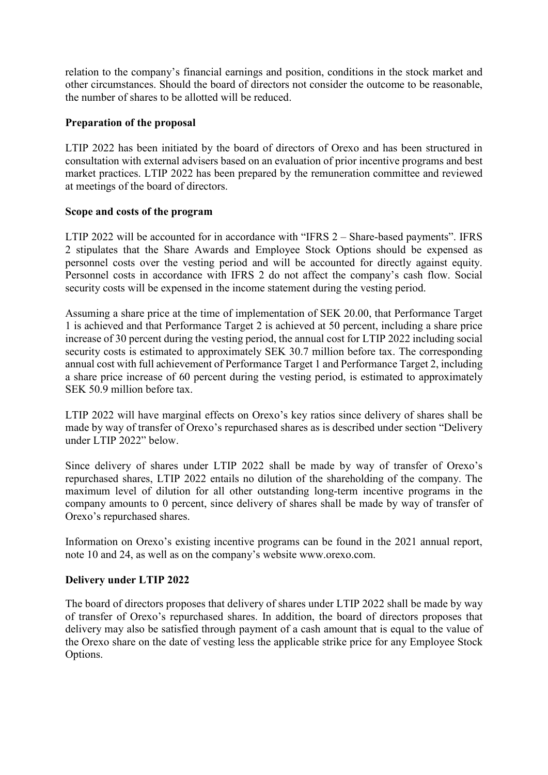relation to the company's financial earnings and position, conditions in the stock market and other circumstances. Should the board of directors not consider the outcome to be reasonable, the number of shares to be allotted will be reduced.

### **Preparation of the proposal**

LTIP 2022 has been initiated by the board of directors of Orexo and has been structured in consultation with external advisers based on an evaluation of prior incentive programs and best market practices. LTIP 2022 has been prepared by the remuneration committee and reviewed at meetings of the board of directors.

### **Scope and costs of the program**

LTIP 2022 will be accounted for in accordance with "IFRS 2 – Share-based payments". IFRS 2 stipulates that the Share Awards and Employee Stock Options should be expensed as personnel costs over the vesting period and will be accounted for directly against equity. Personnel costs in accordance with IFRS 2 do not affect the company's cash flow. Social security costs will be expensed in the income statement during the vesting period.

Assuming a share price at the time of implementation of SEK 20.00, that Performance Target 1 is achieved and that Performance Target 2 is achieved at 50 percent, including a share price increase of 30 percent during the vesting period, the annual cost for LTIP 2022 including social security costs is estimated to approximately SEK 30.7 million before tax. The corresponding annual cost with full achievement of Performance Target 1 and Performance Target 2, including a share price increase of 60 percent during the vesting period, is estimated to approximately SEK 50.9 million before tax.

LTIP 2022 will have marginal effects on Orexo's key ratios since delivery of shares shall be made by way of transfer of Orexo's repurchased shares as is described under section "Delivery under LTIP 2022" below.

Since delivery of shares under LTIP 2022 shall be made by way of transfer of Orexo's repurchased shares, LTIP 2022 entails no dilution of the shareholding of the company. The maximum level of dilution for all other outstanding long-term incentive programs in the company amounts to 0 percent, since delivery of shares shall be made by way of transfer of Orexo's repurchased shares.

Information on Orexo's existing incentive programs can be found in the 2021 annual report, note 10 and 24, as well as on the company's website www.orexo.com.

# **Delivery under LTIP 2022**

The board of directors proposes that delivery of shares under LTIP 2022 shall be made by way of transfer of Orexo's repurchased shares. In addition, the board of directors proposes that delivery may also be satisfied through payment of a cash amount that is equal to the value of the Orexo share on the date of vesting less the applicable strike price for any Employee Stock Options.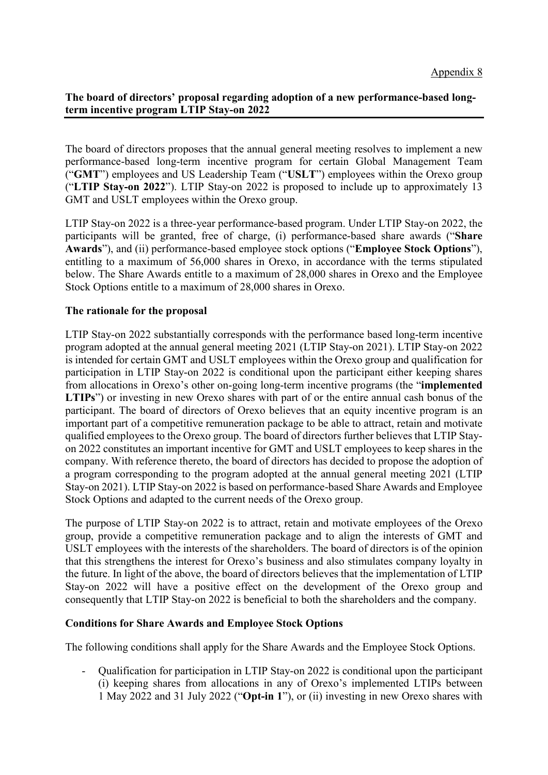# **The board of directors' proposal regarding adoption of a new performance-based longterm incentive program LTIP Stay-on 2022**

The board of directors proposes that the annual general meeting resolves to implement a new performance-based long-term incentive program for certain Global Management Team ("**GMT**") employees and US Leadership Team ("**USLT**") employees within the Orexo group ("**LTIP Stay-on 2022**"). LTIP Stay-on 2022 is proposed to include up to approximately 13 GMT and USLT employees within the Orexo group.

LTIP Stay-on 2022 is a three-year performance-based program. Under LTIP Stay-on 2022, the participants will be granted, free of charge, (i) performance-based share awards ("**Share Awards**"), and (ii) performance-based employee stock options ("**Employee Stock Options**"), entitling to a maximum of 56,000 shares in Orexo, in accordance with the terms stipulated below. The Share Awards entitle to a maximum of 28,000 shares in Orexo and the Employee Stock Options entitle to a maximum of 28,000 shares in Orexo.

# **The rationale for the proposal**

LTIP Stay-on 2022 substantially corresponds with the performance based long-term incentive program adopted at the annual general meeting 2021 (LTIP Stay-on 2021). LTIP Stay-on 2022 is intended for certain GMT and USLT employees within the Orexo group and qualification for participation in LTIP Stay-on 2022 is conditional upon the participant either keeping shares from allocations in Orexo's other on-going long-term incentive programs (the "**implemented LTIPs**") or investing in new Orexo shares with part of or the entire annual cash bonus of the participant. The board of directors of Orexo believes that an equity incentive program is an important part of a competitive remuneration package to be able to attract, retain and motivate qualified employees to the Orexo group. The board of directors further believes that LTIP Stayon 2022 constitutes an important incentive for GMT and USLT employees to keep shares in the company. With reference thereto, the board of directors has decided to propose the adoption of a program corresponding to the program adopted at the annual general meeting 2021 (LTIP Stay-on 2021). LTIP Stay-on 2022 is based on performance-based Share Awards and Employee Stock Options and adapted to the current needs of the Orexo group.

The purpose of LTIP Stay-on 2022 is to attract, retain and motivate employees of the Orexo group, provide a competitive remuneration package and to align the interests of GMT and USLT employees with the interests of the shareholders. The board of directors is of the opinion that this strengthens the interest for Orexo's business and also stimulates company loyalty in the future. In light of the above, the board of directors believes that the implementation of LTIP Stay-on 2022 will have a positive effect on the development of the Orexo group and consequently that LTIP Stay-on 2022 is beneficial to both the shareholders and the company.

### **Conditions for Share Awards and Employee Stock Options**

The following conditions shall apply for the Share Awards and the Employee Stock Options.

- Qualification for participation in LTIP Stay-on 2022 is conditional upon the participant (i) keeping shares from allocations in any of Orexo's implemented LTIPs between 1 May 2022 and 31 July 2022 ("**Opt-in 1**"), or (ii) investing in new Orexo shares with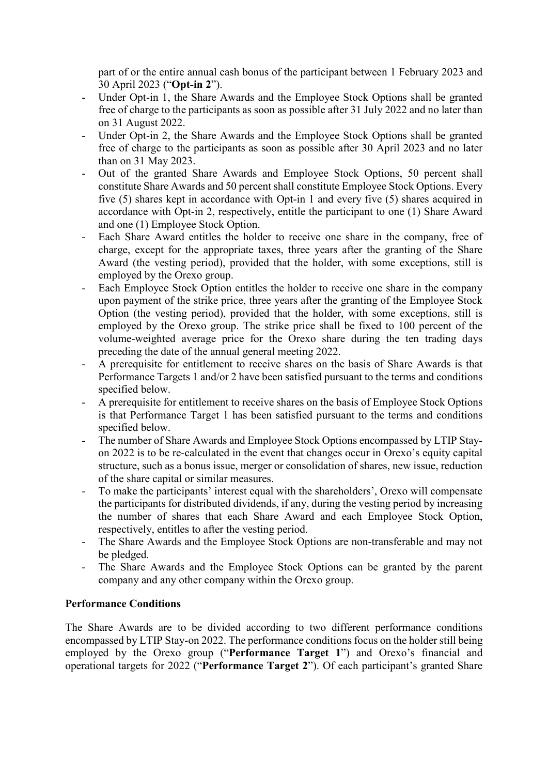part of or the entire annual cash bonus of the participant between 1 February 2023 and 30 April 2023 ("**Opt-in 2**").

- Under Opt-in 1, the Share Awards and the Employee Stock Options shall be granted free of charge to the participants as soon as possible after 31 July 2022 and no later than on 31 August 2022.
- Under Opt-in 2, the Share Awards and the Employee Stock Options shall be granted free of charge to the participants as soon as possible after 30 April 2023 and no later than on 31 May 2023.
- Out of the granted Share Awards and Employee Stock Options, 50 percent shall constitute Share Awards and 50 percent shall constitute Employee Stock Options. Every five (5) shares kept in accordance with Opt-in 1 and every five (5) shares acquired in accordance with Opt-in 2, respectively, entitle the participant to one (1) Share Award and one (1) Employee Stock Option.
- Each Share Award entitles the holder to receive one share in the company, free of charge, except for the appropriate taxes, three years after the granting of the Share Award (the vesting period), provided that the holder, with some exceptions, still is employed by the Orexo group.
- Each Employee Stock Option entitles the holder to receive one share in the company upon payment of the strike price, three years after the granting of the Employee Stock Option (the vesting period), provided that the holder, with some exceptions, still is employed by the Orexo group. The strike price shall be fixed to 100 percent of the volume-weighted average price for the Orexo share during the ten trading days preceding the date of the annual general meeting 2022.
- A prerequisite for entitlement to receive shares on the basis of Share Awards is that Performance Targets 1 and/or 2 have been satisfied pursuant to the terms and conditions specified below.
- A prerequisite for entitlement to receive shares on the basis of Employee Stock Options is that Performance Target 1 has been satisfied pursuant to the terms and conditions specified below.
- The number of Share Awards and Employee Stock Options encompassed by LTIP Stayon 2022 is to be re-calculated in the event that changes occur in Orexo's equity capital structure, such as a bonus issue, merger or consolidation of shares, new issue, reduction of the share capital or similar measures.
- To make the participants' interest equal with the shareholders', Orexo will compensate the participants for distributed dividends, if any, during the vesting period by increasing the number of shares that each Share Award and each Employee Stock Option, respectively, entitles to after the vesting period.
- The Share Awards and the Employee Stock Options are non-transferable and may not be pledged.
- The Share Awards and the Employee Stock Options can be granted by the parent company and any other company within the Orexo group.

# **Performance Conditions**

The Share Awards are to be divided according to two different performance conditions encompassed by LTIP Stay-on 2022. The performance conditions focus on the holder still being employed by the Orexo group ("**Performance Target 1**") and Orexo's financial and operational targets for 2022 ("**Performance Target 2**"). Of each participant's granted Share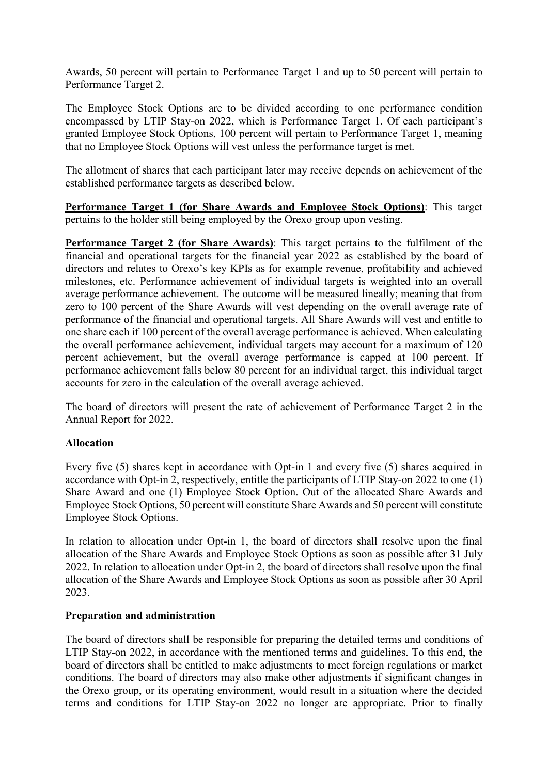Awards, 50 percent will pertain to Performance Target 1 and up to 50 percent will pertain to Performance Target 2.

The Employee Stock Options are to be divided according to one performance condition encompassed by LTIP Stay-on 2022, which is Performance Target 1. Of each participant's granted Employee Stock Options, 100 percent will pertain to Performance Target 1, meaning that no Employee Stock Options will vest unless the performance target is met.

The allotment of shares that each participant later may receive depends on achievement of the established performance targets as described below.

**Performance Target 1 (for Share Awards and Employee Stock Options)**: This target pertains to the holder still being employed by the Orexo group upon vesting.

**Performance Target 2 (for Share Awards)**: This target pertains to the fulfilment of the financial and operational targets for the financial year 2022 as established by the board of directors and relates to Orexo's key KPIs as for example revenue, profitability and achieved milestones, etc. Performance achievement of individual targets is weighted into an overall average performance achievement. The outcome will be measured lineally; meaning that from zero to 100 percent of the Share Awards will vest depending on the overall average rate of performance of the financial and operational targets. All Share Awards will vest and entitle to one share each if 100 percent of the overall average performance is achieved. When calculating the overall performance achievement, individual targets may account for a maximum of 120 percent achievement, but the overall average performance is capped at 100 percent. If performance achievement falls below 80 percent for an individual target, this individual target accounts for zero in the calculation of the overall average achieved.

The board of directors will present the rate of achievement of Performance Target 2 in the Annual Report for 2022.

### **Allocation**

Every five (5) shares kept in accordance with Opt-in 1 and every five (5) shares acquired in accordance with Opt-in 2, respectively, entitle the participants of LTIP Stay-on 2022 to one (1) Share Award and one (1) Employee Stock Option. Out of the allocated Share Awards and Employee Stock Options, 50 percent will constitute Share Awards and 50 percent will constitute Employee Stock Options.

In relation to allocation under Opt-in 1, the board of directors shall resolve upon the final allocation of the Share Awards and Employee Stock Options as soon as possible after 31 July 2022. In relation to allocation under Opt-in 2, the board of directors shall resolve upon the final allocation of the Share Awards and Employee Stock Options as soon as possible after 30 April 2023.

### **Preparation and administration**

The board of directors shall be responsible for preparing the detailed terms and conditions of LTIP Stay-on 2022, in accordance with the mentioned terms and guidelines. To this end, the board of directors shall be entitled to make adjustments to meet foreign regulations or market conditions. The board of directors may also make other adjustments if significant changes in the Orexo group, or its operating environment, would result in a situation where the decided terms and conditions for LTIP Stay-on 2022 no longer are appropriate. Prior to finally